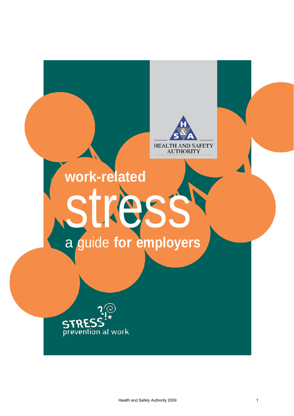## HEALTH AND SAFETY **AUTHORITY**

# **work-related** stress a guide **for employers**

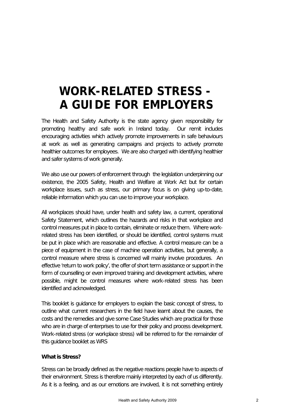### **WORK-RELATED STRESS - A GUIDE FOR EMPLOYERS**

The Health and Safety Authority is the state agency given responsibility for promoting healthy and safe work in Ireland today. Our remit includes encouraging activities which actively promote improvements in safe behaviours at work as well as generating campaigns and projects to actively promote healthier outcomes for employees. We are also charged with identifying healthier and safer systems of work generally.

We also use our powers of enforcement through the legislation underpinning our existence, the 2005 Safety, Health and Welfare at Work Act but for certain workplace issues, such as stress, our primary focus is on giving up-to-date, reliable information which you can use to improve your workplace.

All workplaces should have, under health and safety law, a current, operational Safety Statement, which outlines the hazards and risks in that workplace and control measures put in place to contain, eliminate or reduce them. Where workrelated stress has been identified, or should be identified, control systems must be put in place which are reasonable and effective. A control measure can be a piece of equipment in the case of machine operation activities, but generally, a control measure where stress is concerned will mainly involve procedures. An effective 'return to work policy', the offer of short term assistance or support in the form of counselling or even improved training and development activities, where possible, might be control measures where work-related stress has been identified and acknowledged.

This booklet is guidance for employers to explain the basic concept of stress, to outline what current researchers in the field have learnt about the causes, the costs and the remedies and give some Case Studies which are practical for those who are in charge of enterprises to use for their policy and process development. Work-related stress (or workplace stress) will be referred to for the remainder of this guidance booklet as WRS

#### **What is Stress?**

Stress can be broadly defined as the negative reactions people have to aspects of their environment. Stress is therefore mainly interpreted by each of us differently. As it is a feeling, and as our emotions are involved, it is not something entirely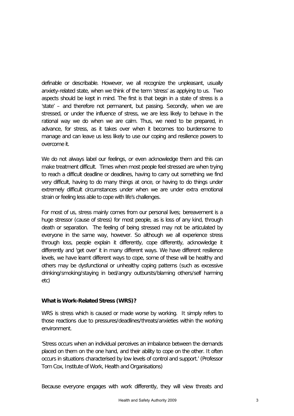definable or describable. However, we all recognize the unpleasant, usually anxiety-related state, when we think of the term 'stress' as applying to us. Two aspects should be kept in mind. The first is that begin in a state of stress is a 'state' – and therefore not permanent, but passing. Secondly, when we are stressed, or under the influence of stress, we are less likely to behave in the rational way we do when we are calm. Thus, we need to be prepared, in advance, for stress, as it takes over when it becomes too burdensome to manage and can leave us less likely to use our coping and resilience powers to overcome it.

We do not always label our feelings, or even acknowledge them and this can make treatment difficult. Times when most people feel stressed are when trying to reach a difficult deadline or deadlines, having to carry out something we find very difficult, having to do many things at once, or having to do things under extremely difficult circumstances under when we are under extra emotional strain or feeling less able to cope with life's challenges.

For most of us, stress mainly comes from our personal lives; bereavement is a huge stressor (cause of stress) for most people, as is loss of any kind, through death or separation. The feeling of being stressed may not be articulated by everyone in the same way, however. So although we all experience stress through loss, people explain it differently, cope differently, acknowledge it differently and 'get over' it in many different ways. We have different resilience levels, we have learnt different ways to cope, some of these will be healthy and others may be dysfunctional or unhealthy coping patterns (such as excessive drinking/smoking/staying in bed/angry outbursts/blaming others/self harming etc)

#### **What is Work-Related Stress (WRS)?**

WRS is stress which is caused or made worse by working. It simply refers to those reactions due to pressures/deadlines/threats/anxieties within the working environment.

'Stress occurs when an individual perceives an imbalance between the demands placed on them on the one hand, and their ability to cope on the other. It often occurs in situations characterised by low levels of control and support.' (Professor Tom Cox, Institute of Work, Health and Organisations)

Because everyone engages with work differently, they will view threats and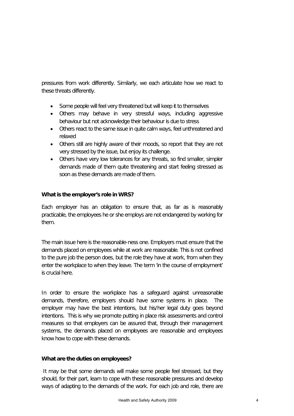pressures from work differently. Similarly, we each articulate how we react to these threats differently.

- Some people will feel very threatened but will keep it to themselves
- Others may behave in very stressful ways, including aggressive behaviour but not acknowledge their behaviour is due to stress
- Others react to the same issue in quite calm ways, feel unthreatened and relaxed
- Others still are highly aware of their moods, so report that they are not very stressed by the issue, but enjoy its challenge.
- Others have very low tolerances for any threats, so find smaller, simpler demands made of them quite threatening and start feeling stressed as soon as these demands are made of them.

#### **What is the employer's role in WRS?**

Each employer has an obligation to ensure that, as far as is reasonably practicable, the employees he or she employs are not endangered by working for them.

The main issue here is the reasonable-ness one. Employers must ensure that the demands placed on employees while at work are reasonable. This is not confined to the pure job the person does, but the role they have at work, from when they enter the workplace to when they leave. The term 'in the course of employment' is crucial here.

In order to ensure the workplace has a safeguard against unreasonable demands, therefore, employers should have some systems in place. The employer may have the best intentions, but his/her legal duty goes beyond intentions. This is why we promote putting in place risk assessments and control measures so that employers can be assured that, through their management systems, the demands placed on employees are reasonable and employees know how to cope with these demands.

#### **What are the duties on employees?**

It may be that some demands will make some people feel stressed, but they should, for their part, learn to cope with these reasonable pressures and develop ways of adapting to the demands of the work. For each job and role, there are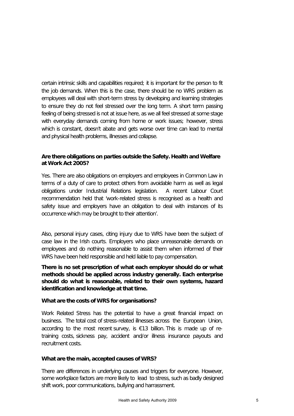certain intrinsic skills and capabilities required; it is important for the person to fit the job demands. When this is the case, there should be no WRS problem as employees will deal with short-term stress by developing and learning strategies to ensure they do not feel stressed over the long term. A short term passing feeling of being stressed is not at issue here, as we all feel stressed at some stage with everyday demands coming from home or work issues; however, stress which is constant, doesn't abate and gets worse over time can lead to mental and physical health problems, illnesses and collapse.

#### **Are there obligations on parties outside the Safety. Health and Welfare at Work Act 2005?**

Yes. There are also obligations on employers and employees in Common Law in terms of a duty of care to protect others from avoidable harm as well as legal obligations under Industrial Relations legislation. A recent Labour Court recommendation held that 'work-related stress is recognised as a health and safety issue and employers have an obligation to deal with instances of its occurrence which may be brought to their attention'.

Also, personal injury cases, citing injury due to WRS have been the subject of case law in the Irish courts. Employers who place unreasonable demands on employees and do nothing reasonable to assist them when informed of their WRS have been held responsible and held liable to pay compensation.

**There is no set prescription of what each employer should do or what methods should be applied across industry generally. Each enterprise should do what is reasonable, related to their own systems, hazard identification and knowledge at that time.**

#### **What are the costs ofWRS for organisations?**

Work Related Stress has the potential to have a great financial impact on business. The total cost of stress-related illnesses across the European Union, according to the most recent survey, is €13 billion. This is made up of retraining costs, sickness pay, accident and/or illness insurance payouts and recruitment costs.

#### **What are the main, accepted causes of WRS?**

There are differences in underlying causes and triggers for everyone. However, some workplace factors are more likely to lead to stress, such as badly designed shift work, poor communications, bullying and harrassment.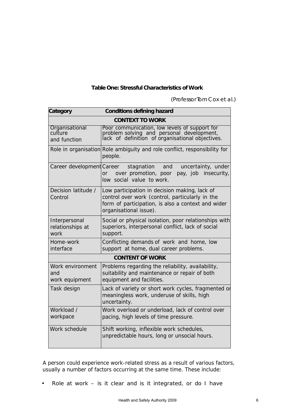#### **Table One: Stressful Characteristics of Work**

*(Professor Tom Cox et al.)*

| Category                                  | <b>Conditions defining hazard</b>                                                                                                                                                |
|-------------------------------------------|----------------------------------------------------------------------------------------------------------------------------------------------------------------------------------|
| <b>CONTEXT TO WORK</b>                    |                                                                                                                                                                                  |
| Organisational<br>culture<br>and function | Poor communication, low levels of support for<br>problem solving and personal development,<br>lack of definition of organisational objectives.                                   |
|                                           | Role in organisation Role ambiguity and role conflict, responsibility for<br>people.                                                                                             |
| Career development Career                 | and<br>uncertainty, under<br>stagnation<br>over promotion, poor<br>pay, job insecurity,<br>or<br>low social value to work.                                                       |
| Decision latitude /<br>Control            | Low participation in decision making, lack of<br>control over work (control, particularly in the<br>form of participation, is also a context and wider<br>organisational issue). |
| Interpersonal<br>relationships at<br>work | Social or physical isolation, poor relationships with<br>superiors, interpersonal conflict, lack of social<br>support.                                                           |
| Home-work<br>interface                    | Conflicting demands of work and home, low<br>support at home, dual career problems.                                                                                              |
| <b>CONTENT OF WORK</b>                    |                                                                                                                                                                                  |
| Work environment<br>and<br>work equipment | Problems regarding the reliability, availability,<br>suitability and maintenance or repair of both<br>equipment and facilities.                                                  |
| Task design                               | Lack of variety or short work cycles, fragmented or<br>meaningless work, underuse of skills, high<br>uncertainty.                                                                |
| Workload /<br>workpace                    | Work overload or underload, lack of control over<br>pacing, high levels of time pressure.                                                                                        |
| Work schedule                             | Shift working, inflexible work schedules,<br>unpredictable hours, long or unsocial hours.                                                                                        |

A person could experience work-related stress as a result of various factors, usually a number of factors occurring at the same time. These include:

• Role at work – is it clear and is it integrated, or do I have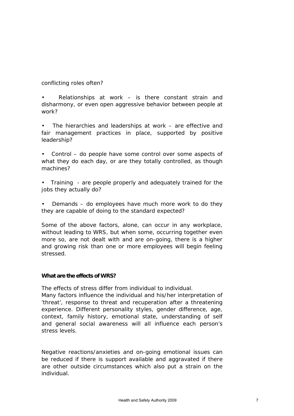conflicting roles often?

Relationships at work  $-$  is there constant strain and disharmony, or even open aggressive behavior between people at work?

The hierarchies and leaderships at work  $-$  are effective and fair management practices in place, supported by positive leadership?

• Control – do people have some control over some aspects of what they do each day, or are they totally controlled, as though machines?

• Training - are people properly and adequately trained for the jobs they actually do?

Demands – do employees have much more work to do they they are capable of doing to the standard expected?

Some of the above factors, alone, can occur in any workplace, without leading to WRS, but when some, occurring together even more so, are not dealt with and are on-going, there is a higher and growing risk than one or more employees will begin feeling stressed.

#### **What are the effects of WRS?**

The effects of stress differ from individual to individual.

Many factors influence the individual and his/her interpretation of 'threat', response to threat and recuperation after a threatening experience. Different personality styles, gender difference, age, context, family history, emotional state, understanding of self and general social awareness will all influence each person's stress levels.

Negative reactions/anxieties and on-going emotional issues can be reduced if there is support available and aggravated if there are other outside circumstances which also put a strain on the individual.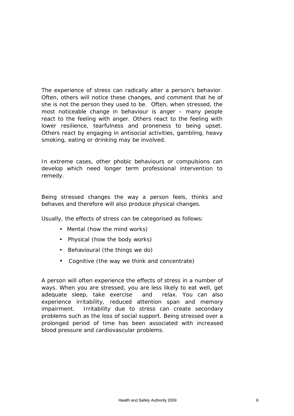The experience of stress can radically alter a person's behavior. Often, others will notice these changes, and comment that he of she is not the person they used to be. Often, when stressed, the most noticeable change in behaviour is anger – many people react to the feeling with anger. Others react to the feeling with lower resilience, tearfulness and proneness to being upset. Others react by engaging in antisocial activities, gambling, heavy smoking, eating or drinking may be involved.

In extreme cases, other phobic behaviours or compulsions can develop which need longer term professional intervention to remedy.

Being stressed changes the way a person feels, thinks and behaves and therefore will also produce physical changes.

Usually, the effects of stress can be categorised as follows:

- Mental (how the mind works)
- Physical (how the body works)
- Behavioural (the things we do)
- Cognitive (the way we think and concentrate)

A person will often experience the effects of stress in a number of ways. When you are stressed, you are less likely to eat well, get adequate sleep, take exercise and relax. You can also experience irritability, reduced attention span and memory impairment. Irritability due to stress can create secondary problems such as the loss of social support. Being stressed over a prolonged period of time has been associated with increased blood pressure and cardiovascular problems.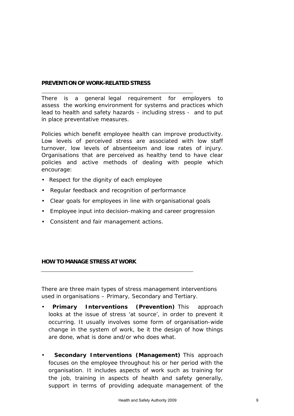#### **PREVENTION OF WORK-RELATED STRESS**

There is a general legal requirement for employers to assess the working environment for systems and practices which lead to health and safety hazards – including stress - and to put in place preventative measures.

Policies which benefit employee health can improve productivity. Low levels of perceived stress are associated with low staff turnover, low levels of absenteeism and low rates of injury. Organisations that are perceived as healthy tend to have clear policies and active methods of dealing with people which encourage:

- Respect for the dignity of each employee
- Regular feedback and recognition of performance
- Clear goals for employees in line with organisational goals
- Employee input into decision-making and career progression
- Consistent and fair management actions.

#### **HOW TO MANAGE STRESS AT WORK**

There are three main types of stress management interventions used in organisations – Primary, Secondary and Tertiary.

- **Primary Interventions (Prevention)** This approach looks at the issue of stress 'at source', in order to prevent it occurring. It usually involves some form of organisation-wide change in the system of work, be it the design of how things are done, what is done and/or who does what.
- **Secondary Interventions (Management)** This approach focuses on the employee throughout his or her period with the organisation. It includes aspects of work such as training for the job, training in aspects of health and safety generally, support in terms of providing adequate management of the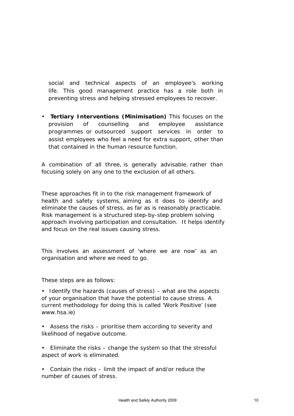social and technical aspects of an employee's working life. This good management practice has a role both in preventing stress and helping stressed employees to recover.

• **Tertiary Interventions (Minimisation)** This focuses on the provision of counselling and employee assistance programmes or outsourced support services in order to assist employees who feel a need for extra support, other than that contained in the human resource function.

A combination of all three, is generally advisable, rather than focusing solely on any one to the exclusion of all others.

These approaches fit in to the risk management framework of health and safety systems, aiming as it does to identify and eliminate the causes of stress, as far as is reasonably practicable. Risk management is a structured step-by-step problem solving approach involving participation and consultation. It helps identify and focus on the real issues causing stress.

This involves an assessment of 'where we are now' as an organisation and where we need to go.

These steps are as follows:

- Identify the hazards (causes of stress) what are the aspects of your organisation that have the potential to cause stress. A current methodology for doing this is called 'Work Positive' (see www.hsa.ie)
- Assess the risks prioritise them according to severity and likelihood of negative outcome.
- Eliminate the risks change the system so that the stressful aspect of work is eliminated.
- Contain the risks limit the impact of and/or reduce the number of causes of stress.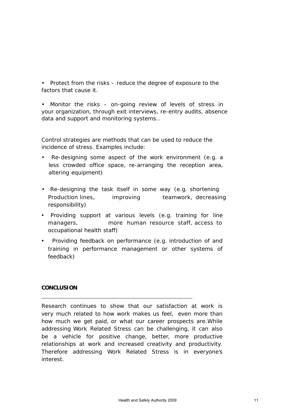• Protect from the risks – reduce the degree of exposure to the factors that cause it.

Monitor the risks – on-going review of levels of stress in your organization, through exit interviews, re-entry audits, absence data and support and monitoring systems..

Control strategies are methods that can be used to reduce the incidence of stress. Examples include:

- Re-designing some aspect of the work environment (e.g. a less crowded office space, re-arranging the reception area, altering equipment)
- Re-designing the task itself in some way (e.g. shortening Production lines, improving teamwork, decreasing responsibility)
- Providing support at various levels (e.g. training for line managers, more human resource staff, access to occupational health staff)
- Providing feedback on performance (e.g. introduction of and training in performance management or other systems of feedback)

#### **CONCLUSION**

Research continues to show that our satisfaction at work is very much related to how work makes us feel, even more than how much we get paid, or what our career prospects are.While addressing Work Related Stress can be challenging, it can also be a vehicle for positive change, better, more productive relationships at work and increased creativity and productivity. Therefore addressing Work Related Stress is in everyone's interest.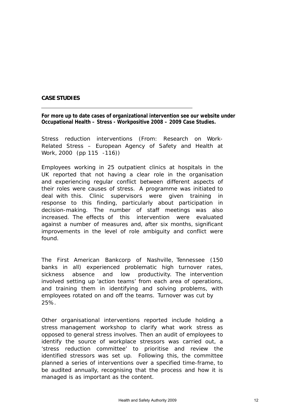#### **CASE STUDIES**

**For more up to date cases of organizational intervention see our website under Occupational Health – Stress - Workpositive 2008 – 2009 Case Studies.**

Stress reduction interventions (From: Research on Work-Related Stress – European Agency of Safety and Health at Work, 2000 (pp 115 -116))

Employees working in 25 outpatient clinics at hospitals in the UK reported that not having a clear role in the organisation and experiencing regular conflict between different aspects of their roles were causes of stress. A programme was initiated to deal with this. Clinic supervisors were given training in response to this finding, particularly about participation in decision-making. The number of staff meetings was also increased. The effects of this intervention were evaluated against a number of measures and, after six months, significant improvements in the level of role ambiguity and conflict were found.

The First American Bankcorp of Nashville, Tennessee (150 banks in all) experienced problematic high turnover rates, sickness absence and low productivity. The intervention involved setting up 'action teams' from each area of operations, and training them in identifying and solving problems, with employees rotated on and off the teams. Turnover was cut by 25%.

Other organisational interventions reported include holding a stress management workshop to clarify what work stress as opposed to general stress involves. Then an audit of employees to identify the source of workplace stressors was carried out, a 'stress reduction committee' to prioritise and review the identified stressors was set up. Following this, the committee planned a series of interventions over a specified time-frame, to be audited annually, recognising that the process and how it is managed is as important as the content.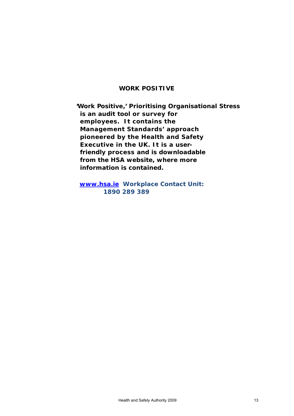#### **WORK POSITIVE**

**'Work Positive,' Prioritising Organisational Stress is an audit tool or survey for employees. It contains the Management Standards' approach pioneered by the Health and Safety Executive in the UK. It is a userfriendly process and is downloadable from the HSA website, where more information is contained.**

**[www.hsa.ie](http://www.hsa.ie/) Workplace Contact Unit: 1890 289 389**